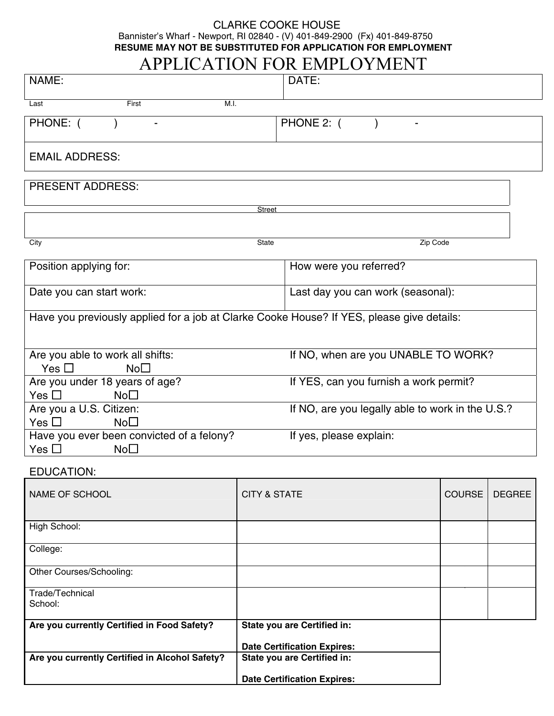## CLARKE COOKE HOUSE Bannister's Wharf - Newport, RI 02840 - (V) 401-849-2900 (Fx) 401-849-8750 **RESUME MAY NOT BE SUBSTITUTED FOR APPLICATION FOR EMPLOYMENT**

# APPLICATION FOR EMPLOYMENT

| NAME:                                                                                     |                         | DATE:                                            |                        |               |  |  |
|-------------------------------------------------------------------------------------------|-------------------------|--------------------------------------------------|------------------------|---------------|--|--|
| First<br>M.I.<br>Last                                                                     |                         |                                                  |                        |               |  |  |
| PHONE: (                                                                                  |                         | PHONE 2: (                                       |                        |               |  |  |
| <b>EMAIL ADDRESS:</b>                                                                     |                         |                                                  |                        |               |  |  |
| <b>PRESENT ADDRESS:</b>                                                                   |                         |                                                  |                        |               |  |  |
| <b>Street</b>                                                                             |                         |                                                  |                        |               |  |  |
|                                                                                           |                         |                                                  |                        |               |  |  |
| City                                                                                      | State                   | Zip Code                                         |                        |               |  |  |
| Position applying for:                                                                    |                         |                                                  | How were you referred? |               |  |  |
| Date you can start work:                                                                  |                         | Last day you can work (seasonal):                |                        |               |  |  |
| Have you previously applied for a job at Clarke Cooke House? If YES, please give details: |                         |                                                  |                        |               |  |  |
| Are you able to work all shifts:<br>Yes $\Box$<br>$No\square$                             |                         | If NO, when are you UNABLE TO WORK?              |                        |               |  |  |
| Are you under 18 years of age?<br>Yes $\square$<br>$No\square$                            |                         | If YES, can you furnish a work permit?           |                        |               |  |  |
| Are you a U.S. Citizen:<br>Yes $\square$<br>$No\square$                                   |                         | If NO, are you legally able to work in the U.S.? |                        |               |  |  |
| Have you ever been convicted of a felony?<br>Yes $\Box$<br>No <sub>1</sub>                |                         | If yes, please explain:                          |                        |               |  |  |
| EDUCATION:                                                                                |                         |                                                  |                        |               |  |  |
| <b>NAME OF SCHOOL</b>                                                                     | <b>CITY &amp; STATE</b> |                                                  | <b>COURSE</b>          | <b>DEGREE</b> |  |  |
| High School:                                                                              |                         |                                                  |                        |               |  |  |
| College:                                                                                  |                         |                                                  |                        |               |  |  |
| Other Courses/Schooling:                                                                  |                         |                                                  |                        |               |  |  |
| Trade/Technical<br>School:                                                                |                         |                                                  |                        |               |  |  |
| Are you currently Certified in Food Safety?                                               |                         | State you are Certified in:                      |                        |               |  |  |
|                                                                                           |                         | <b>Date Certification Expires:</b>               |                        |               |  |  |
| Are you currently Certified in Alcohol Safety?                                            |                         | <b>State you are Certified in:</b>               |                        |               |  |  |
|                                                                                           |                         | <b>Date Certification Expires:</b>               |                        |               |  |  |